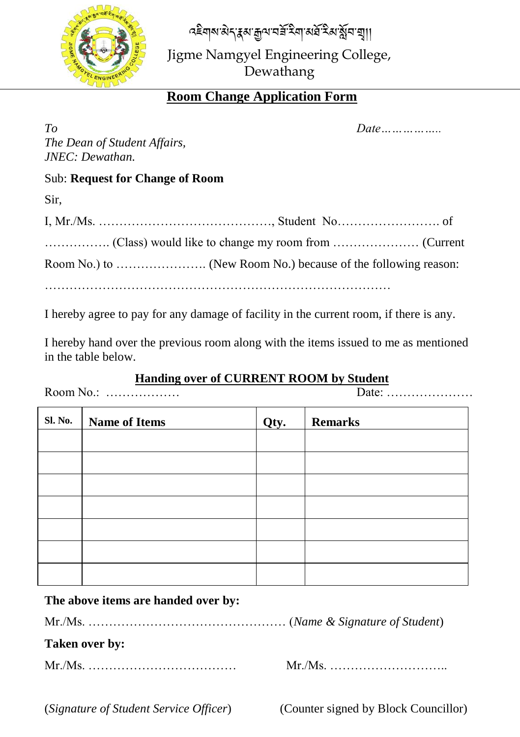বইনাৰ ঠানু হয় মুন নম্কু হুৱা পৰু হুপা স্থা।



Jigme Namgyel Engineering College, Dewathang

# **Room Change Application Form**

| $T_{O}$                                |  |
|----------------------------------------|--|
| The Dean of Student Affairs,           |  |
| JNEC: Dewathan.                        |  |
| <b>Sub: Request for Change of Room</b> |  |
| Sir.                                   |  |
|                                        |  |

I hereby agree to pay for any damage of facility in the current room, if there is any.

I hereby hand over the previous room along with the items issued to me as mentioned in the table below.

#### **Handing over of CURRENT ROOM by Student**

Room No.: ……………… Date: …………………

**Sl. No. Name of Items Qty. Remarks**

# **The above items are handed over by:**

Mr./Ms. ………………………………………… (*Name & Signature of Student*)

### **Taken over by:**

Mr./Ms. ……………………………… Mr./Ms. ………………………..

(*Signature of Student Service Officer*) (Counter signed by Block Councillor)